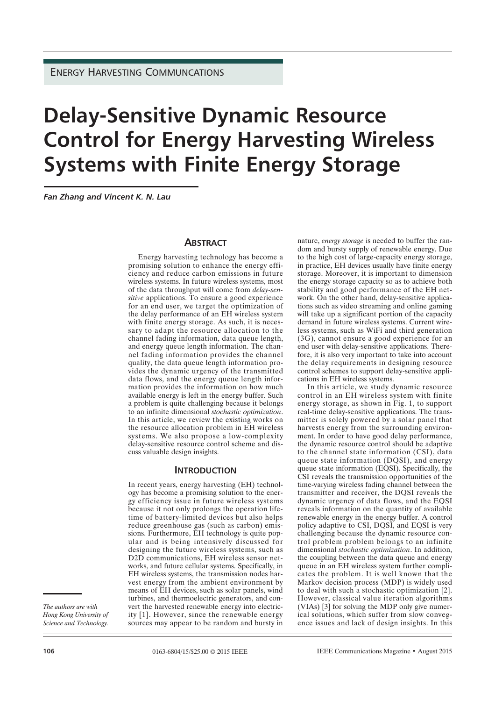# **Delay-Sensitive Dynamic Resource Control for Energy Harvesting Wireless Systems with Finite Energy Storage**

*Fan Zhang and Vincent K. N. Lau*

# **ABSTRACT**

Energy harvesting technology has become a promising solution to enhance the energy efficiency and reduce carbon emissions in future wireless systems. In future wireless systems, most of the data throughput will come from *delay-sensitive* applications. To ensure a good experience for an end user, we target the optimization of the delay performance of an EH wireless system with finite energy storage. As such, it is necessary to adapt the resource allocation to the channel fading information, data queue length, and energy queue length information. The channel fading information provides the channel quality, the data queue length information provides the dynamic urgency of the transmitted data flows, and the energy queue length information provides the information on how much available energy is left in the energy buffer. Such a problem is quite challenging because it belongs to an infinite dimensional *stochastic optimization*. In this article, we review the existing works on the resource allocation problem in EH wireless systems. We also propose a low-complexity delay-sensitive resource control scheme and discuss valuable design insights.

### **INTRODUCTION**

In recent years, energy harvesting (EH) technology has become a promising solution to the energy efficiency issue in future wireless systems because it not only prolongs the operation lifetime of battery-limited devices but also helps reduce greenhouse gas (such as carbon) emissions. Furthermore, EH technology is quite popular and is being intensively discussed for designing the future wireless systems, such as D2D communications, EH wireless sensor networks, and future cellular systems. Specifically, in EH wireless systems, the transmission nodes harvest energy from the ambient environment by means of EH devices, such as solar panels, wind turbines, and thermoelectric generators, and convert the harvested renewable energy into electricity [1]. However, since the renewable energy sources may appear to be random and bursty in nature, *energy storage* is needed to buffer the random and bursty supply of renewable energy. Due to the high cost of large-capacity energy storage, in practice, EH devices usually have finite energy storage. Moreover, it is important to dimension the energy storage capacity so as to achieve both stability and good performance of the EH network. On the other hand, delay-sensitive applications such as video streaming and online gaming will take up a significant portion of the capacity demand in future wireless systems. Current wireless systems, such as WiFi and third generation (3G), cannot ensure a good experience for an end user with delay-sensitive applications. Therefore, it is also very important to take into account the delay requirements in designing resource control schemes to support delay-sensitive applications in EH wireless systems.

In this article, we study dynamic resource control in an EH wireless system with finite energy storage, as shown in Fig. 1, to support real-time delay-sensitive applications. The transmitter is solely powered by a solar panel that harvests energy from the surrounding environment. In order to have good delay performance, the dynamic resource control should be adaptive to the channel state information (CSI), data queue state information (DQSI), and energy queue state information (EQSI). Specifically, the CSI reveals the transmission opportunities of the time-varying wireless fading channel between the transmitter and receiver, the DQSI reveals the dynamic urgency of data flows, and the EQSI reveals information on the quantity of available renewable energy in the energy buffer. A control policy adaptive to CSI, DQSI, and EQSI is very challenging because the dynamic resource control problem problem belongs to an infinite dimensional *stochastic optimization*. In addition, the coupling between the data queue and energy queue in an EH wireless system further complicates the problem. It is well known that the Markov decision process (MDP) is widely used to deal with such a stochastic optimization [2]. However, classical value iteration algorithms (VIAs) [3] for solving the MDP only give numerical solutions, which suffer from slow convegence issues and lack of design insights. In this

*The authors are with Hong Kong University of Science and Technology.*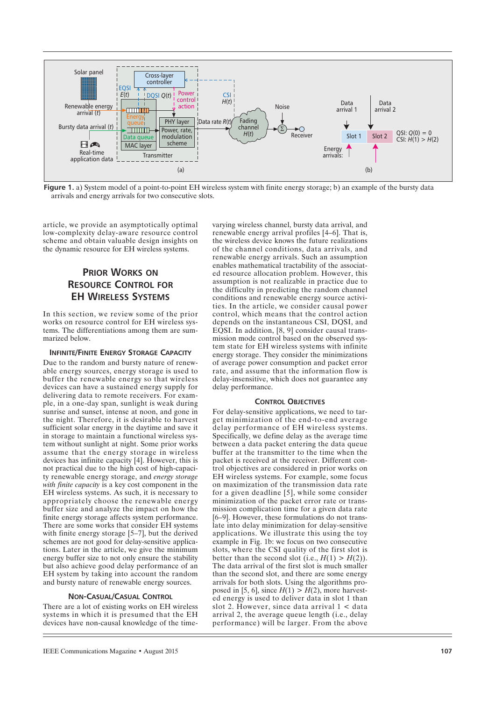

**Figure 1.** a) System model of a point-to-point EH wireless system with finite energy storage; b) an example of the bursty data arrivals and energy arrivals for two consecutive slots.

article, we provide an asymptotically optimal low-complexity delay-aware resource control scheme and obtain valuable design insights on the dynamic resource for EH wireless systems.

# **PRIOR WORKS ON RESOURCE CONTROL FOR EH WIRELESS SYSTEMS**

In this section, we review some of the prior works on resource control for EH wireless systems. The differentiations among them are summarized below.

## **INFINITE/FINITE ENERGY STORAGE CAPACITY**

Due to the random and bursty nature of renewable energy sources, energy storage is used to buffer the renewable energy so that wireless devices can have a sustained energy supply for delivering data to remote receivers. For example, in a one-day span, sunlight is weak during sunrise and sunset, intense at noon, and gone in the night. Therefore, it is desirable to harvest sufficient solar energy in the daytime and save it in storage to maintain a functional wireless system without sunlight at night. Some prior works assume that the energy storage in wireless devices has infinite capacity [4]. However, this is not practical due to the high cost of high-capacity renewable energy storage, and *energy storage with finite capacity* is a key cost component in the EH wireless systems. As such, it is necessary to appropriately choose the renewable energy buffer size and analyze the impact on how the finite energy storage affects system performance. There are some works that consider EH systems with finite energy storage [5–7], but the derived schemes are not good for delay-sensitive applications. Later in the article, we give the minimum energy buffer size to not only ensure the stability but also achieve good delay performance of an EH system by taking into account the random and bursty nature of renewable energy sources.

#### **NON-CASUAL/CASUAL CONTROL**

There are a lot of existing works on EH wireless systems in which it is presumed that the EH devices have non-causal knowledge of the timevarying wireless channel, bursty data arrival, and renewable energy arrival profiles [4–6]. That is, the wireless device knows the future realizations of the channel conditions, data arrivals, and renewable energy arrivals. Such an assumption enables mathematical tractability of the associated resource allocation problem. However, this assumption is not realizable in practice due to the difficulty in predicting the random channel conditions and renewable energy source activities. In the article, we consider causal power control, which means that the control action depends on the instantaneous CSI, DQSI, and EQSI. In addition, [8, 9] consider causal transmission mode control based on the observed system state for EH wireless systems with infinite energy storage. They consider the minimizations of average power consumption and packet error rate, and assume that the information flow is delay-insensitive, which does not guarantee any delay performance.

#### **CONTROL OBJECTIVES**

For delay-sensitive applications, we need to target minimization of the end-to-end average delay performance of EH wireless systems. Specifically, we define delay as the average time between a data packet entering the data queue buffer at the transmitter to the time when the packet is received at the receiver. Different control objectives are considered in prior works on EH wireless systems. For example, some focus on maximization of the transmission data rate for a given deadline [5], while some consider minimization of the packet error rate or transmission complication time for a given data rate [6–9]. However, these formulations do not translate into delay minimization for delay-sensitive applications. We illustrate this using the toy example in Fig. 1b: we focus on two consecutive slots, where the CSI quality of the first slot is better than the second slot (i.e.,  $H(1) > H(2)$ ). The data arrival of the first slot is much smaller than the second slot, and there are some energy arrivals for both slots. Using the algorithms proposed in [5, 6], since  $H(1) > H(2)$ , more harvested energy is used to deliver data in slot 1 than slot 2. However, since data arrival 1 < data arrival 2, the average queue length (i.e., delay performance) will be larger. From the above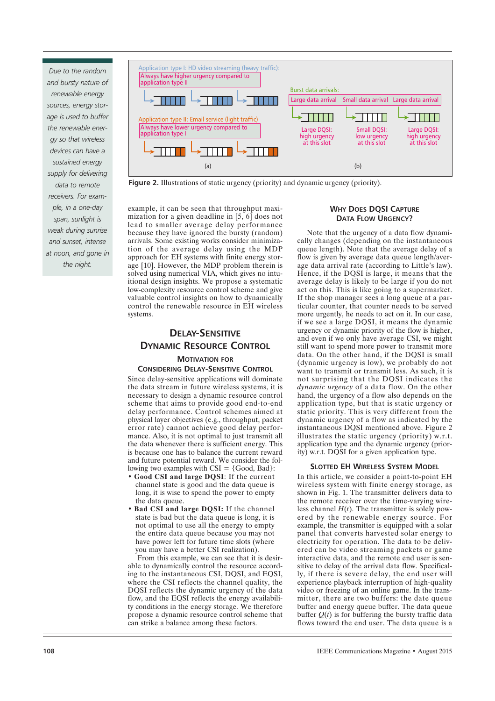*Due to the random and bursty nature of renewable energy sources, energy storage is used to buffer the renewable energy so that wireless devices can have a sustained energy supply for delivering data to remote receivers. For example, in a one-day span, sunlight is weak during sunrise and sunset, intense at noon, and gone in the night.*



**Figure 2.** Illustrations of static urgency (priority) and dynamic urgency (priority).

example, it can be seen that throughput maximization for a given deadline in [5, 6] does not lead to smaller average delay performance because they have ignored the bursty (random) arrivals. Some existing works consider minimization of the average delay using the MDP approach for EH systems with finite energy storage [10]. However, the MDP problem therein is solved using numerical VIA, which gives no intuitional design insights. We propose a systematic low-complexity resource control scheme and give valuable control insights on how to dynamically control the renewable resource in EH wireless systems.

# **DELAY-SENSITIVE DYNAMIC RESOURCE CONTROL**

#### **MOTIVATION FOR CONSIDERING DELAY-SENSITIVE CONTROL**

Since delay-sensitive applications will dominate the data stream in future wireless systems, it is necessary to design a dynamic resource control scheme that aims to provide good end-to-end delay performance. Control schemes aimed at physical layer objectives (e.g., throughput, packet error rate) cannot achieve good delay performance. Also, it is not optimal to just transmit all the data whenever there is sufficient energy. This

#### and future potential reward. We consider the following two examples with  $CSI = {Good, Bad}$ : • **Good CSI and large DQSI**: If the current channel state is good and the data queue is long, it is wise to spend the power to empty the data queue.

is because one has to balance the current reward

• **Bad CSI and large DQSI:** If the channel state is bad but the data queue is long, it is not optimal to use all the energy to empty the entire data queue because you may not have power left for future time slots (where you may have a better CSI realization).

From this example, we can see that it is desirable to dynamically control the resource according to the instantaneous CSI, DQSI, and EQSI, where the CSI reflects the channel quality, the DQSI reflects the dynamic urgency of the data flow, and the EQSI reflects the energy availability conditions in the energy storage. We therefore propose a dynamic resource control scheme that can strike a balance among these factors.

# **WHY DOES DQSI CAPTURE DATA FLOW URGENCY?**

Note that the urgency of a data flow dynamically changes (depending on the instantaneous queue length). Note that the average delay of a flow is given by average data queue length/average data arrival rate (according to Little's law). Hence, if the DQSI is large, it means that the average delay is likely to be large if you do not act on this. This is like going to a supermarket. If the shop manager sees a long queue at a particular counter, that counter needs to be served more urgently, he needs to act on it. In our case, if we see a large DQSI, it means the dynamic urgency or dynamic priority of the flow is higher, and even if we only have average CSI, we might still want to spend more power to transmit more data. On the other hand, if the DQSI is small (dynamic urgency is low), we probably do not want to transmit or transmit less. As such, it is not surprising that the DQSI indicates the *dynamic urgency* of a data flow. On the other hand, the urgency of a flow also depends on the application type, but that is static urgency or static priority. This is very different from the dynamic urgency of a flow as indicated by the instantaneous DQSI mentioned above. Figure 2 illustrates the static urgency (priority) w.r.t. application type and the dynamic urgency (priority) w.r.t. DQSI for a given application type.

## **SLOTTED EH WIRELESS SYSTEM MODEL**

In this article, we consider a point-to-point EH wireless system with finite energy storage, as shown in Fig. 1. The transmitter delivers data to the remote receiver over the time-varying wireless channel *H*(*t*). The transmitter is solely powered by the renewable energy source. For example, the transmitter is equipped with a solar panel that converts harvested solar energy to electricity for operation. The data to be delivered can be video streaming packets or game interactive data, and the remote end user is sensitive to delay of the arrival data flow. Specifically, if there is severe delay, the end user will experience playback interruption of high-quality video or freezing of an online game. In the transmitter, there are two buffers: the date queue buffer and energy queue buffer. The data queue buffer  $Q(t)$  is for buffering the bursty traffic data flows toward the end user. The data queue is a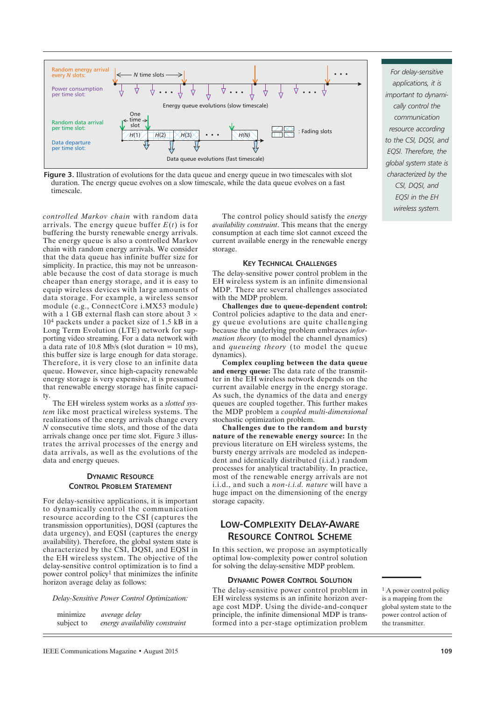

**Figure 3.** Illustration of evolutions for the data queue and energy queue in two timescales with slot duration. The energy queue evolves on a slow timescale, while the data queue evolves on a fast timescale.

*controlled Markov chain* with random data arrivals. The energy queue buffer  $E(t)$  is for buffering the bursty renewable energy arrivals. The energy queue is also a controlled Markov chain with random energy arrivals. We consider that the data queue has infinite buffer size for simplicity. In practice, this may not be unreasonable because the cost of data storage is much cheaper than energy storage, and it is easy to equip wireless devices with large amounts of data storage. For example, a wireless sensor module (e.g., ConnectCore i.MX53 module) with a 1 GB external flash can store about 3  $\times$ 104 packets under a packet size of 1.5 kB in a Long Term Evolution (LTE) network for supporting video streaming. For a data network with a data rate of 10.8 Mb/s (slot duration =  $10 \text{ ms}$ ), this buffer size is large enough for data storage. Therefore, it is very close to an infinite data queue. However, since high-capacity renewable energy storage is very expensive, it is presumed that renewable energy storage has finite capacity.

The EH wireless system works as a *slotted system* like most practical wireless systems. The realizations of the energy arrivals change every *N* consecutive time slots, and those of the data arrivals change once per time slot. Figure 3 illustrates the arrival processes of the energy and data arrivals, as well as the evolutions of the data and energy queues.

## **DYNAMIC RESOURCE CONTROL PROBLEM STATEMENT**

For delay-sensitive applications, it is important to dynamically control the communication resource according to the CSI (captures the transmission opportunities), DQSI (captures the data urgency), and EQSI (captures the energy availability). Therefore, the global system state is characterized by the CSI, DQSI, and EQSI in the EH wireless system. The objective of the delay-sensitive control optimization is to find a power control policy<sup>1</sup> that minimizes the infinite horizon average delay as follows:

*Delay-Sensitive Power Control Optimization:*

| minimize   | <i>average delay</i>           |
|------------|--------------------------------|
| subject to | energy availability constraint |

The control policy should satisfy the *energy availability constraint*. This means that the energy consumption at each time slot cannot exceed the current available energy in the renewable energy storage.

#### **KEY TECHNICAL CHALLENGES**

The delay-sensitive power control problem in the EH wireless system is an infinite dimensional MDP. There are several challenges associated with the MDP problem.

**Challenges due to queue-dependent control:** Control policies adaptive to the data and energy queue evolutions are quite challenging because the underlying problem embraces *information theory* (to model the channel dynamics) and *queueing theory* (to model the queue dynamics).

**Complex coupling between the data queue and energy queue:** The data rate of the transmitter in the EH wireless network depends on the current available energy in the energy storage. As such, the dynamics of the data and energy queues are coupled together. This further makes the MDP problem a *coupled multi-dimensional* stochastic optimization problem.

**Challenges due to the random and bursty nature of the renewable energy source:** In the previous literature on EH wireless systems, the bursty energy arrivals are modeled as independent and identically distributed (i.i.d.) random processes for analytical tractability. In practice, most of the renewable energy arrivals are not i.i.d., and such a *non-i.i.d. nature* will have a huge impact on the dimensioning of the energy storage capacity.

# **LOW-COMPLEXITY DELAY-AWARE RESOURCE CONTROL SCHEME**

In this section, we propose an asymptotically optimal low-complexity power control solution for solving the delay-sensitive MDP problem.

#### **DYNAMIC POWER CONTROL SOLUTION**

The delay-sensitive power control problem in EH wireless systems is an infinite horizon average cost MDP. Using the divide-and-conquer principle, the infinite dimensional MDP is transformed into a per-stage optimization problem

<sup>1</sup> A power control policy is a mapping from the global system state to the power control action of the transmitter.

IEEE Communications Magazine • August 2015 **109**

*For delay-sensitive applications, it is important to dynamically control the communication resource according to the CSI, DQSI, and EQSI. Therefore, the global system state is characterized by the CSI, DQSI, and EQSI in the EH wireless system.*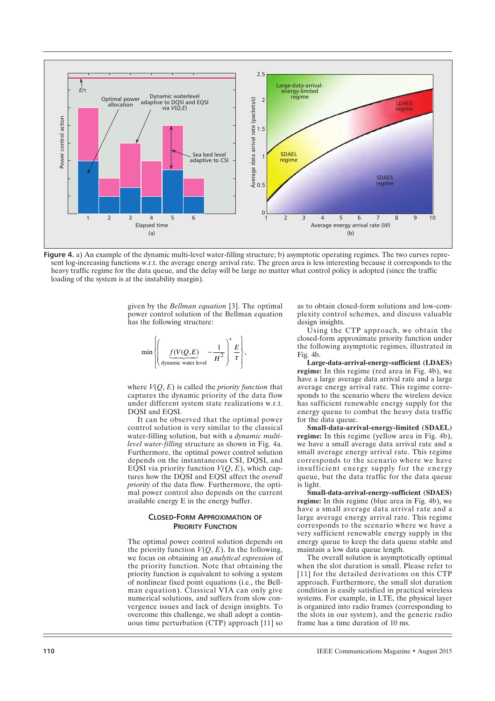

**Figure 4.** a) An example of the dynamic multi-level water-filling structure; b) asymptotic operating regimes. The two curves represent log-increasing functions w.r.t. the average energy arrival rate. The green area is less interesting because it corresponds to the heavy traffic regime for the data queue, and the delay will be large no matter what control policy is adopted (since the traffic loading of the system is at the instability margin).

given by the *Bellman equation* [3]. The optimal power control solution of the Bellman equation has the following structure:

$$
\min \left\{ \left( \underbrace{f(V(Q,E)}_{\text{dynamic water level}} - \frac{1}{H^2} \right)^+ \frac{E}{\tau} \right\},\right\}
$$

where  $V(Q, E)$  is called the *priority function* that captures the dynamic priority of the data flow under different system state realizations w.r.t. DOSI and EOSI.

It can be observed that the optimal power control solution is very similar to the classical water-filling solution, but with a *dynamic multilevel water-filling* structure as shown in Fig. 4a. Furthermore, the optimal power control solution depends on the instantaneous CSI, DQSI, and EQSI via priority function  $V(Q, E)$ , which captures how the DQSI and EQSI affect the *overall priority* of the data flow. Furthermore, the optimal power control also depends on the current available energy E in the energy buffer.

## **CLOSED-FORM APPROXIMATION OF PRIORITY FUNCTION**

The optimal power control solution depends on the priority function  $V(Q, E)$ . In the following, we focus on obtaining an *analytical expression* of the priority function. Note that obtaining the priority function is equivalent to solving a system of nonlinear fixed point equations (i.e., the Bellman equation). Classical VIA can only give numerical solutions, and suffers from slow convergence issues and lack of design insights. To overcome this challenge, we shall adopt a continuous time perturbation (CTP) approach [11] so as to obtain closed-form solutions and low-complexity control schemes, and discuss valuable design insights.

Using the CTP approach, we obtain the closed-form approximate priority function under the following asymptotic regimes, illustrated in Fig. 4b.

**Large-data-arrival-energy-sufficient (LDAES) regime:** In this regime (red area in Fig. 4b), we have a large average data arrival rate and a large average energy arrival rate. This regime corresponds to the scenario where the wireless device has sufficient renewable energy supply for the energy queue to combat the heavy data traffic for the data queue.

**Small-data-arrival-energy-limited (SDAEL) regime:** In this regime (yellow area in Fig. 4b), we have a small average data arrival rate and a small average energy arrival rate. This regime corresponds to the scenario where we have insufficient energy supply for the energy queue, but the data traffic for the data queue is light.

**Small-data-arrival-energy-sufficient (SDAES) regime:** In this regime (blue area in Fig. 4b), we have a small average data arrival rate and a large average energy arrival rate. This regime corresponds to the scenario where we have a very sufficient renewable energy supply in the energy queue to keep the data queue stable and maintain a low data queue length.

The overall solution is asymptotically optimal when the slot duration is small. Please refer to [11] for the detailed derivations on this CTP approach. Furthermore, the small slot duration condition is easily satisfied in practical wireless systems. For example, in LTE, the physical layer is organized into radio frames (corresponding to the slots in our system), and the generic radio frame has a time duration of 10 ms.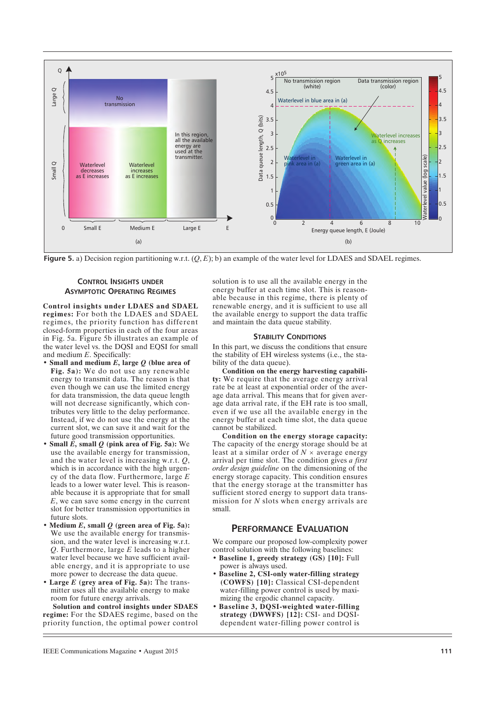

**Figure 5.** a) Decision region partitioning w.r.t.  $(Q, E)$ ; b) an example of the water level for LDAES and SDAEL regimes.

## **CONTROL INSIGHTS UNDER ASYMPTOTIC OPERATING REGIMES**

**Control insights under LDAES and SDAEL regimes:** For both the LDAES and SDAEL regimes, the priority function has different closed-form properties in each of the four areas in Fig. 5a. Figure 5b illustrates an example of the water level vs. the DQSI and EQSI for small and medium *E*. Specifically:

- **Small and medium** *E***, large** *Q* **(blue area of Fig. 5a):** We do not use any renewable energy to transmit data. The reason is that even though we can use the limited energy for data transmission, the data queue length will not decrease significantly, which contributes very little to the delay performance. Instead, if we do not use the energy at the current slot, we can save it and wait for the future good transmission opportunities.
- **Small**  $\tilde{E}$ **, small**  $\theta$  **(pink area of Fig. 5a):** We use the available energy for transmission, and the water level is increasing w.r.t. *Q*, which is in accordance with the high urgency of the data flow. Furthermore, large *E* leads to a lower water level. This is reasonable because it is appropriate that for small *E*, we can save some energy in the current slot for better transmission opportunities in future slots.
- **Medium**  $E$ **, small**  $Q$  **(green area of Fig. 5a):** We use the available energy for transmission, and the water level is increasing w.r.t. *Q*. Furthermore, large *E* leads to a higher water level because we have sufficient available energy, and it is appropriate to use more power to decrease the data queue.
- **Large** *E* **(grey area of Fig. 5a):** The transmitter uses all the available energy to make room for future energy arrivals.

**Solution and control insights under SDAES regime:** For the SDAES regime, based on the priority function, the optimal power control

solution is to use all the available energy in the energy buffer at each time slot. This is reasonable because in this regime, there is plenty of renewable energy, and it is sufficient to use all the available energy to support the data traffic and maintain the data queue stability.

#### **STABILITY CONDITIONS**

In this part, we discuss the conditions that ensure the stability of EH wireless systems (i.e., the stability of the data queue).

**Condition on the energy harvesting capability:** We require that the average energy arrival rate be at least at exponential order of the average data arrival. This means that for given average data arrival rate, if the EH rate is too small, even if we use all the available energy in the energy buffer at each time slot, the data queue cannot be stabilized.

**Condition on the energy storage capacity:** The capacity of the energy storage should be at least at a similar order of  $N \times$  average energy arrival per time slot. The condition gives *a first order design guideline* on the dimensioning of the energy storage capacity. This condition ensures that the energy storage at the transmitter has sufficient stored energy to support data transmission for *N* slots when energy arrivals are small.

# **PERFORMANCE EVALUATION**

We compare our proposed low-complexity power control solution with the following baselines:

- **Baseline 1, greedy strategy (GS) [10]:** Full power is always used.
- **Baseline 2, CSI-only water-filling strategy (COWFS) [10]:** Classical CSI-dependent water-filling power control is used by maximizing the ergodic channel capacity.
- **Baseline 3, DQSI-weighted water-filling strategy (DWWFS) [12]:** CSI- and DQSIdependent water-filling power control is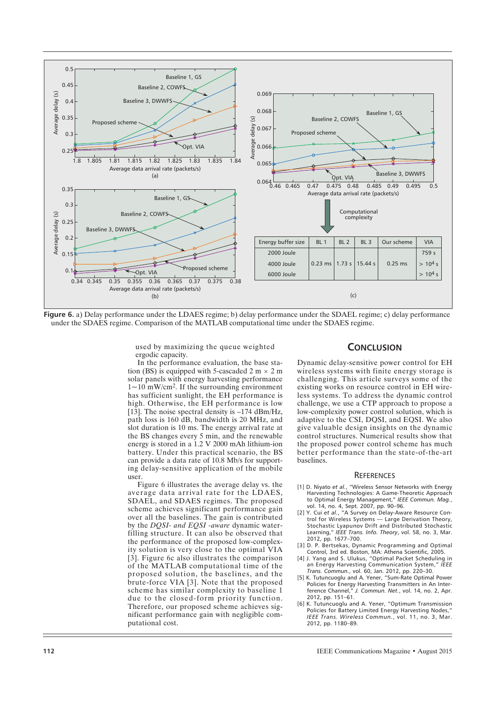

**Figure 6.** a) Delay performance under the LDAES regime; b) delay performance under the SDAEL regime; c) delay performance under the SDAES regime. Comparison of the MATLAB computational time under the SDAES regime.

used by maximizing the queue weighted ergodic capacity.

In the performance evaluation, the base station (BS) is equipped with 5-cascaded 2 m  $\times$  2 m solar panels with energy harvesting performance  $1 \sim 10 \text{ mW/cm}^2$ . If the surrounding environment has sufficient sunlight, the EH performance is high. Otherwise, the EH performance is low [13]. The noise spectral density is  $-174$  dBm/Hz, path loss is 160 dB, bandwidth is 20 MHz, and slot duration is 10 ms. The energy arrival rate at the BS changes every 5 min, and the renewable energy is stored in a 1.2 V 2000 mAh lithium-ion battery. Under this practical scenario, the BS can provide a data rate of 10.8 Mb/s for supporting delay-sensitive application of the mobile user.

Figure 6 illustrates the average delay vs. the average data arrival rate for the LDAES, SDAEL, and SDAES regimes. The proposed scheme achieves significant performance gain over all the baselines. The gain is contributed by the *DQSI- and EQSI -aware* dynamic waterfilling structure. It can also be observed that the performance of the proposed low-complexity solution is very close to the optimal VIA [3]. Figure 6c also illustrates the comparison of the MATLAB computational time of the proposed solution, the baselines, and the brute-force VIA [3]. Note that the proposed scheme has similar complexity to baseline 1 due to the closed-form priority function. Therefore, our proposed scheme achieves significant performance gain with negligible computational cost.

# **CONCLUSION**

Dynamic delay-sensitive power control for EH wireless systems with finite energy storage is challenging. This article surveys some of the existing works on resource control in EH wireless systems. To address the dynamic control challenge, we use a CTP approach to propose a low-complexity power control solution, which is adaptive to the CSI, DQSI, and EQSI. We also give valuable design insights on the dynamic control structures. Numerical results show that the proposed power control scheme has much better performance than the state-of-the-art baselines.

#### **REFERENCES**

- [1] D. Niyato *et al.*, "Wireless Sensor Networks with Energy Harvesting Technologies: A Game-Theoretic Approach to Optimal Energy Management," *IEEE Commun. Mag.*,
- vol. 14, no. 4, Sept. 2007, pp. 90–96. [2] Y. Cui *et al.*, "A Survey on Delay-Aware Resource Control for Wireless Systems — Large Derivation Theory, Stochastic Lyapunov Drift and Distributed Stochastic Learning," *IEEE Trans. Info. Theory*, vol. 58, no. 3, Mar. 2012, pp. 1677–700.
- [3] D. P. Bertsekas, Dynamic Programming and Optimal Control, 3rd ed. Boston, MA: Athena Scientific, 2005.
- [4] J. Yang and S. Ulukus, "Optimal Packet Scheduling in an Energy Harvesting Communication System," *IEEE Trans. Commun.*, vol. 60, Jan. 2012, pp. 220–30. [5] K. Tutuncuoglu and A. Yener, "Sum-Rate Optimal Power
- Policies for Energy Harvesting Transmitters in An Interference Channel," *J. Commun. Net.*, vol. 14, no. 2, Apr. 2012, pp. 151–61.
- [6] K. Tutuncuoglu and A. Yener, "Optimum Transmission Policies for Battery Limited Energy Harvesting Nodes," *IEEE Trans. Wireless Commun.*, vol. 11, no. 3, Mar. 2012, pp. 1180–89.